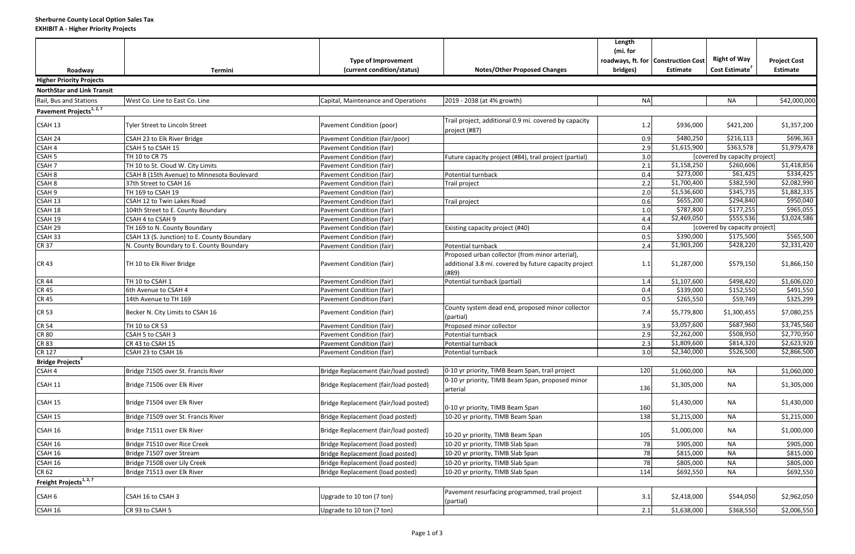|                                      |                                             | <b>Type of Improvement</b>            |                                                                                                                   | Length<br>(mi. for | roadways, ft. for   Construction Cost | <b>Right of Way</b>           | <b>Project Cost</b> |
|--------------------------------------|---------------------------------------------|---------------------------------------|-------------------------------------------------------------------------------------------------------------------|--------------------|---------------------------------------|-------------------------------|---------------------|
| Roadway                              | Termini                                     | (current condition/status)            | <b>Notes/Other Proposed Changes</b>                                                                               | bridges)           | <b>Estimate</b>                       | Cost Estimate <sup>7</sup>    | <b>Estimate</b>     |
| <b>Higher Priority Projects</b>      |                                             |                                       |                                                                                                                   |                    |                                       |                               |                     |
| <b>NorthStar and Link Transit</b>    |                                             |                                       |                                                                                                                   |                    |                                       |                               |                     |
| Rail, Bus and Stations               | West Co. Line to East Co. Line              | Capital, Maintenance and Operations   | 2019 - 2038 (at 4% growth)                                                                                        | <b>NA</b>          |                                       | <b>NA</b>                     | \$42,000,000        |
| Pavement Projects <sup>1, 2, 7</sup> |                                             |                                       |                                                                                                                   |                    |                                       |                               |                     |
| CSAH 13                              | Tyler Street to Lincoln Street              | Pavement Condition (poor)             | Trail project, additional 0.9 mi. covered by capacity<br>project (#87)                                            | 1.2                | \$936,000                             | \$421,200                     | \$1,357,200         |
| CSAH <sub>24</sub>                   | CSAH 23 to Elk River Bridge                 | Pavement Condition (fair/poor)        |                                                                                                                   | 0.9                | \$480,250                             | \$216,113                     | \$696,363           |
| CSAH <sub>4</sub>                    | CSAH 5 to CSAH 15                           | Pavement Condition (fair)             |                                                                                                                   | 2.9                | \$1,615,900                           | \$363,578                     | \$1,979,478         |
| CSAH <sub>5</sub>                    | TH 10 to CR 75                              | Pavement Condition (fair)             | Future capacity project (#84), trail project (partial)                                                            | 3.0                |                                       | [covered by capacity project] |                     |
| CSAH <sub>7</sub>                    | TH 10 to St. Cloud W. City Limits           | Pavement Condition (fair)             |                                                                                                                   | 2.1                | \$1,158,250                           | \$260,606                     | \$1,418,856         |
| CSAH <sub>8</sub>                    | CSAH 8 (15th Avenue) to Minnesota Boulevard | Pavement Condition (fair)             | Potential turnback                                                                                                | 0.4                | \$273,000                             | \$61,425                      | \$334,425           |
| CSAH 8                               | 37th Street to CSAH 16                      | Pavement Condition (fair)             | Trail project                                                                                                     | 2.2                | \$1,700,400                           | \$382,590                     | \$2,082,990         |
| CSAH <sub>9</sub>                    | TH 169 to CSAH 19                           | Pavement Condition (fair)             |                                                                                                                   | 2.0                | \$1,536,600                           | \$345,735                     | \$1,882,335         |
| CSAH <sub>13</sub>                   | CSAH 12 to Twin Lakes Road                  | Pavement Condition (fair)             | Trail project                                                                                                     | 0.6                | \$655,200                             | \$294,840                     | \$950,040           |
| CSAH 18                              | 104th Street to E. County Boundary          | Pavement Condition (fair)             |                                                                                                                   | 1.0                | \$787,800                             | \$177,255                     | \$965,055           |
| CSAH 19                              | CSAH 4 to CSAH 9                            | Pavement Condition (fair)             |                                                                                                                   | 4.4                | \$2,469,050                           | \$555,536                     | \$3,024,586         |
| CSAH 29                              | TH 169 to N. County Boundary                | Pavement Condition (fair)             | Existing capacity project (#40)                                                                                   | 0.4                |                                       | [covered by capacity project] |                     |
| CSAH 33                              | CSAH 13 (S. Junction) to E. County Boundary | Pavement Condition (fair)             |                                                                                                                   | 0.5                | \$390,000                             | \$175,500                     | \$565,500           |
| <b>CR 37</b>                         | N. County Boundary to E. County Boundary    | Pavement Condition (fair)             | Potential turnback                                                                                                | 2.4                | \$1,903,200                           | $\overline{$}428,220$         | \$2,331,420         |
| <b>CR43</b>                          | TH 10 to Elk River Bridge                   | Pavement Condition (fair)             | Proposed urban collector (from minor arterial),<br>additional 3.8 mi. covered by future capacity project<br>(#89) | 1.1                | \$1,287,000                           | \$579,150                     | \$1,866,150         |
| <b>CR 44</b>                         | TH 10 to CSAH 1                             | Pavement Condition (fair)             | Potential turnback (partial)                                                                                      | 1.4                | \$1,107,600                           | \$498,420                     | \$1,606,020         |
| <b>CR 45</b>                         | 6th Avenue to CSAH 4                        | Pavement Condition (fair)             |                                                                                                                   | 0.4                | \$339,000                             | \$152,550                     | \$491,550           |
| <b>CR 45</b>                         | 14th Avenue to TH 169                       | Pavement Condition (fair)             |                                                                                                                   | 0.5                | \$265,550                             | \$59,749                      | \$325,299           |
| <b>CR 53</b>                         | Becker N. City Limits to CSAH 16            | Pavement Condition (fair)             | County system dead end, proposed minor collector<br>(partial)                                                     | 7.4                | \$5,779,800                           | \$1,300,455                   | \$7,080,255         |
| <b>CR 54</b>                         | TH 10 to CR 53                              | Pavement Condition (fair)             | Proposed minor collector                                                                                          | 3.9                | \$3,057,600                           | \$687,960                     | \$3,745,560         |
| CR 80                                | CSAH 5 to CSAH 3                            | Pavement Condition (fair)             | Potential turnback                                                                                                | 2.9                | \$2,262,000                           | \$508,950                     | \$2,770,950         |
| <b>CR 83</b>                         | CR 43 to CSAH 15                            | Pavement Condition (fair)             | Potential turnback                                                                                                | 2.3                | \$1,809,600                           | \$814,320                     | \$2,623,920         |
| <b>CR 127</b>                        | CSAH 23 to CSAH 16                          | Pavement Condition (fair)             | Potential turnback                                                                                                | 3.0                | \$2,340,000                           | \$526,500                     | \$2,866,500         |
| Bridge Projects <sup>3</sup>         |                                             |                                       |                                                                                                                   |                    |                                       |                               |                     |
| CSAH 4                               | Bridge 71505 over St. Francis River         | Bridge Replacement (fair/load posted) | 0-10 yr priority, TIMB Beam Span, trail project                                                                   | 120                | \$1,060,000                           | <b>NA</b>                     | \$1,060,000         |
| CSAH 11                              | Bridge 71506 over Elk River                 | Bridge Replacement (fair/load posted) | 0-10 yr priority, TIMB Beam Span, proposed minor<br>arterial                                                      | 136                | \$1,305,000                           | <b>NA</b>                     | \$1,305,000         |
| CSAH 15                              | Bridge 71504 over Elk River                 | Bridge Replacement (fair/load posted) | 0-10 yr priority, TIMB Beam Span                                                                                  | 160                | \$1,430,000                           | NA                            | \$1,430,000         |
| CSAH 15                              | Bridge 71509 over St. Francis River         | Bridge Replacement (load posted)      | 10-20 yr priority, TIMB Beam Span                                                                                 | 138                | \$1,215,000                           | <b>NA</b>                     | \$1,215,000         |
| CSAH 16                              | Bridge 71511 over Elk River                 | Bridge Replacement (fair/load posted) | 10-20 yr priority, TIMB Beam Span                                                                                 | 105                | \$1,000,000                           | <b>NA</b>                     | \$1,000,000         |
| CSAH 16                              | Bridge 71510 over Rice Creek                | Bridge Replacement (load posted)      | 10-20 yr priority, TIMB Slab Span                                                                                 | 78                 | \$905,000                             | <b>NA</b>                     | \$905,000           |
| CSAH 16                              | Bridge 71507 over Stream                    | Bridge Replacement (load posted)      | 10-20 yr priority, TIMB Slab Span                                                                                 | 78                 | \$815,000                             | <b>NA</b>                     | \$815,000           |
| CSAH 16                              | Bridge 71508 over Lily Creek                | Bridge Replacement (load posted)      | 10-20 yr priority, TIMB Slab Span                                                                                 | 78                 | \$805,000                             | <b>NA</b>                     | \$805,000           |
| CR 62                                | Bridge 71513 over Elk River                 | Bridge Replacement (load posted)      | 10-20 yr priority, TIMB Slab Span                                                                                 | 114                | \$692,550                             | NA                            | \$692,550           |
| Freight Projects $1, 2, 7$           |                                             |                                       |                                                                                                                   |                    |                                       |                               |                     |
| CSAH 6                               | CSAH 16 to CSAH 3                           | Upgrade to 10 ton (7 ton)             | Pavement resurfacing programmed, trail project<br>(partial)                                                       | 3.1                | \$2,418,000                           | \$544,050                     | \$2,962,050         |
| CSAH 16                              | CR 93 to CSAH 5                             | Upgrade to 10 ton (7 ton)             |                                                                                                                   | 2.1                | \$1,638,000                           | \$368,550                     | \$2,006,550         |
|                                      |                                             |                                       |                                                                                                                   |                    |                                       |                               |                     |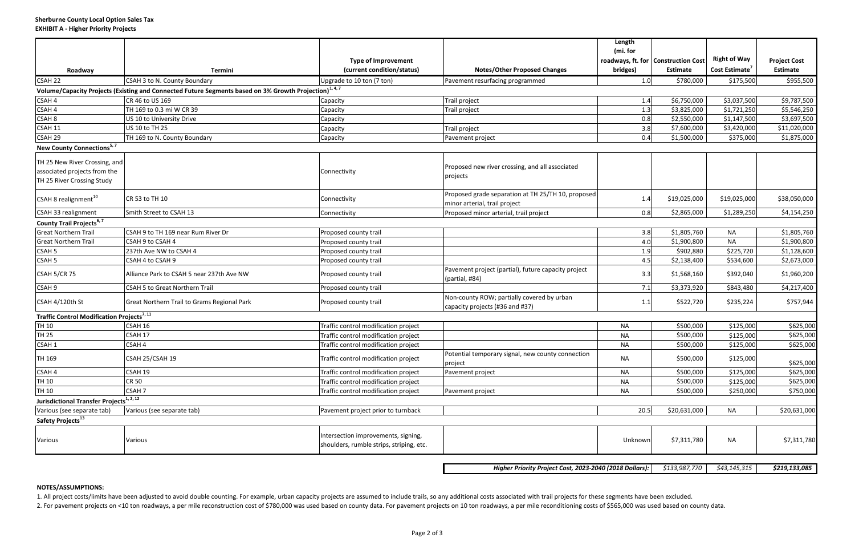|                                                               |                                                                                                                    |                                                                                 |                                                                               | Length<br>(mi. for |                                       |                            |                     |
|---------------------------------------------------------------|--------------------------------------------------------------------------------------------------------------------|---------------------------------------------------------------------------------|-------------------------------------------------------------------------------|--------------------|---------------------------------------|----------------------------|---------------------|
|                                                               |                                                                                                                    | <b>Type of Improvement</b>                                                      |                                                                               |                    | roadways, ft. for   Construction Cost | <b>Right of Way</b>        | <b>Project Cost</b> |
| Roadway                                                       | Termini                                                                                                            | (current condition/status)                                                      | <b>Notes/Other Proposed Changes</b>                                           | bridges)           | <b>Estimate</b>                       | Cost Estimate <sup>7</sup> | Estimate            |
| CSAH 22                                                       | CSAH 3 to N. County Boundary                                                                                       | Upgrade to 10 ton (7 ton)                                                       | Pavement resurfacing programmed                                               | 1.0                | \$780,000                             | \$175,500                  | \$955,500           |
|                                                               | Volume/Capacity Projects (Existing and Connected Future Segments based on 3% Growth Projection) <sup>1, 4, 7</sup> |                                                                                 |                                                                               |                    |                                       |                            |                     |
| CSAH 4                                                        | CR 46 to US 169                                                                                                    | Capacity                                                                        | Trail project                                                                 | 1.4                | \$6,750,000                           | \$3,037,500                | \$9,787,500         |
| CSAH 4                                                        | TH 169 to 0.3 mi W CR 39                                                                                           | Capacity                                                                        | Trail project                                                                 | 1.3                | \$3,825,000                           | \$1,721,250                | \$5,546,250         |
| CSAH <sub>8</sub>                                             | US 10 to University Drive                                                                                          | Capacity                                                                        |                                                                               | 0.8                | \$2,550,000                           | \$1,147,500                | \$3,697,500         |
| CSAH 11                                                       | US 10 to TH 25                                                                                                     | Capacity                                                                        | Trail project                                                                 | 3.8                | \$7,600,000                           | \$3,420,000                | \$11,020,000        |
| CSAH <sub>29</sub>                                            | TH 169 to N. County Boundary                                                                                       | Capacity                                                                        | Pavement project                                                              | 0.4                | \$1,500,000                           | \$375,000                  | \$1,875,000         |
| New County Connections <sup>5,7</sup>                         |                                                                                                                    |                                                                                 |                                                                               |                    |                                       |                            |                     |
|                                                               |                                                                                                                    |                                                                                 |                                                                               |                    |                                       |                            |                     |
| TH 25 New River Crossing, and                                 |                                                                                                                    |                                                                                 | Proposed new river crossing, and all associated                               |                    |                                       |                            |                     |
| associated projects from the                                  |                                                                                                                    | Connectivity                                                                    | projects                                                                      |                    |                                       |                            |                     |
| TH 25 River Crossing Study                                    |                                                                                                                    |                                                                                 |                                                                               |                    |                                       |                            |                     |
|                                                               |                                                                                                                    |                                                                                 | Proposed grade separation at TH 25/TH 10, proposed                            |                    | \$19,025,000                          | \$19,025,000               | \$38,050,000        |
| CSAH 8 realignment <sup>10</sup>                              | CR 53 to TH 10                                                                                                     | Connectivity                                                                    | minor arterial, trail project                                                 | 1.4                |                                       |                            |                     |
| CSAH 33 realignment                                           | Smith Street to CSAH 13                                                                                            | Connectivity                                                                    | Proposed minor arterial, trail project                                        | 0.8                | \$2,865,000                           | \$1,289,250                | \$4,154,250         |
| County Trail Projects <sup>6,7</sup>                          |                                                                                                                    |                                                                                 |                                                                               |                    |                                       |                            |                     |
| <b>Great Northern Trail</b>                                   | CSAH 9 to TH 169 near Rum River Dr                                                                                 | Proposed county trail                                                           |                                                                               | 3.8                | \$1,805,760                           | <b>NA</b>                  | \$1,805,760         |
| <b>Great Northern Trail</b>                                   | CSAH 9 to CSAH 4                                                                                                   | Proposed county trail                                                           |                                                                               | 4.0                | \$1,900,800                           | <b>NA</b>                  | \$1,900,800         |
| CSAH <sub>5</sub>                                             | 237th Ave NW to CSAH 4                                                                                             | Proposed county trail                                                           |                                                                               | 1.9                | \$902,880                             | \$225,720                  | \$1,128,600         |
| CSAH <sub>5</sub>                                             | CSAH 4 to CSAH 9                                                                                                   | Proposed county trail                                                           |                                                                               | 4.5                | \$2,138,400                           | \$534,600                  | \$2,673,000         |
| CSAH 5/CR 75                                                  | Alliance Park to CSAH 5 near 237th Ave NW                                                                          | Proposed county trail                                                           | Pavement project (partial), future capacity project<br>(partial, #84)         | 3.3                | \$1,568,160                           | \$392,040                  | \$1,960,200         |
| CSAH 9                                                        | CSAH 5 to Great Northern Trail                                                                                     | Proposed county trail                                                           |                                                                               | 7.1                | \$3,373,920                           | \$843,480                  | \$4,217,400         |
| CSAH 4/120th St                                               | Great Northern Trail to Grams Regional Park                                                                        | Proposed county trail                                                           | Non-county ROW; partially covered by urban<br>capacity projects (#36 and #37) | 1.1                | \$522,720                             | \$235,224                  | \$757,944           |
| <b>Traffic Control Modification Projects</b> <sup>7, 11</sup> |                                                                                                                    |                                                                                 |                                                                               |                    |                                       |                            |                     |
| <b>TH 10</b>                                                  | CSAH 16                                                                                                            | Traffic control modification project                                            |                                                                               | <b>NA</b>          | \$500,000                             | \$125,000                  | \$625,000           |
| <b>TH 25</b>                                                  | CSAH 17                                                                                                            | Traffic control modification project                                            |                                                                               | <b>NA</b>          | \$500,000                             | \$125,000                  | \$625,000           |
| CSAH 1                                                        | CSAH 4                                                                                                             | Traffic control modification project                                            |                                                                               | NA                 | \$500,000                             | \$125,000                  | \$625,000           |
| TH 169                                                        | CSAH 25/CSAH 19                                                                                                    | Traffic control modification project                                            | Potential temporary signal, new county connection<br>project                  | <b>NA</b>          | \$500,000                             | \$125,000                  | \$625,000           |
| CSAH 4                                                        | CSAH 19                                                                                                            | Traffic control modification project                                            | Pavement project                                                              | <b>NA</b>          | \$500,000                             | \$125,000                  | \$625,000           |
| <b>TH 10</b>                                                  | CR 50                                                                                                              | Traffic control modification project                                            |                                                                               | <b>NA</b>          | \$500,000                             | \$125,000                  | \$625,000           |
| <b>TH 10</b>                                                  | CSAH 7                                                                                                             | Traffic control modification project                                            | Pavement project                                                              | NA                 | \$500,000                             | \$250,000                  | \$750,000           |
| Jurisdictional Transfer Projects <sup>1, 2, 12</sup>          |                                                                                                                    |                                                                                 |                                                                               |                    |                                       |                            |                     |
| Various (see separate tab)                                    | Various (see separate tab)                                                                                         | Pavement project prior to turnback                                              |                                                                               | 20.5               | \$20,631,000                          | NA                         | \$20,631,000        |
| Safety Projects <sup>13</sup>                                 |                                                                                                                    |                                                                                 |                                                                               |                    |                                       |                            |                     |
|                                                               |                                                                                                                    |                                                                                 |                                                                               |                    |                                       |                            |                     |
| Various                                                       | Various                                                                                                            | Intersection improvements, signing,<br>shoulders, rumble strips, striping, etc. |                                                                               | Unknown            | \$7,311,780                           | <b>NA</b>                  | \$7,311,780         |
|                                                               |                                                                                                                    |                                                                                 |                                                                               |                    |                                       |                            |                     |
|                                                               |                                                                                                                    |                                                                                 |                                                                               |                    |                                       |                            |                     |
|                                                               |                                                                                                                    |                                                                                 | Higher Priority Project Cost, 2023-2040 (2018 Dollars):                       |                    | \$133,987,770                         | \$43,145,315               | \$219,133,085       |

## **NOTES/ASSUMPTIONS:**

1. All project costs/limits have been adjusted to avoid double counting. For example, urban capacity projects are assumed to include trails, so any additional costs associated with trail projects for these segments have be 2. For pavement projects on <10 ton roadways, a per mile reconstruction cost of \$780,000 was used based on county data. For pavement projects on 10 ton roadways, a per mile reconditioning costs of \$565,000 was used based o